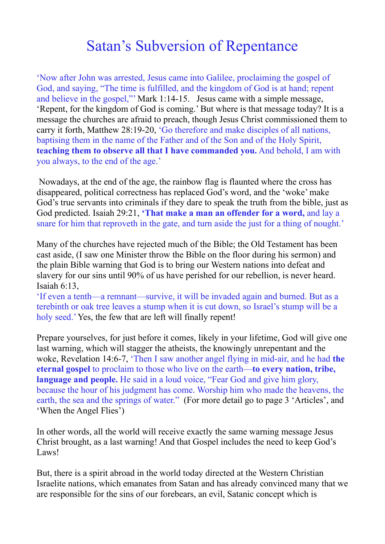## Satan's Subversion of Repentance

'Now after John was arrested, Jesus came into Galilee, proclaiming the gospel of God, and saying, "The time is fulfilled, and the kingdom of God is at hand; repent and believe in the gospel,"' Mark 1:14-15. Jesus came with a simple message, 'Repent, for the kingdom of God is coming.' But where is that message today? It is a message the churches are afraid to preach, though Jesus Christ commissioned them to carry it forth, Matthew 28:19-20, 'Go therefore and make disciples of all nations, baptising them in the name of the Father and of the Son and of the Holy Spirit, **teaching them to observe all that I have commanded you.** And behold, I am with you always, to the end of the age.'

 Nowadays, at the end of the age, the rainbow flag is flaunted where the cross has disappeared, political correctness has replaced God's word, and the 'woke' make God's true servants into criminals if they dare to speak the truth from the bible, just as God predicted. Isaiah 29:21, **'That make a man an offender for a word,** and lay a snare for him that reproveth in the gate, and turn aside the just for a thing of nought.'

Many of the churches have rejected much of the Bible; the Old Testament has been cast aside, (I saw one Minister throw the Bible on the floor during his sermon) and the plain Bible warning that God is to bring our Western nations into defeat and slavery for our sins until 90% of us have perished for our rebellion, is never heard. Isaiah 6:13,

'If even a tenth—a remnant—survive, it will be invaded again and burned. But as a terebinth or oak tree leaves a stump when it is cut down, so Israel's stump will be a holy seed.' Yes, the few that are left will finally repent!

Prepare yourselves, for just before it comes, likely in your lifetime, God will give one last warning, which will stagger the atheists, the knowingly unrepentant and the woke, Revelation 14:6-7, 'Then I saw another angel flying in mid-air, and he had **the eternal gospel** to proclaim to those who live on the earth—**to every nation, tribe, language and people.** He said in a loud voice, "Fear God and give him glory, because the hour of his judgment has come. Worship him who made the heavens, the earth, the sea and the springs of water." (For more detail go to page 3 'Articles', and 'When the Angel Flies')

In other words, all the world will receive exactly the same warning message Jesus Christ brought, as a last warning! And that Gospel includes the need to keep God's Laws!

But, there is a spirit abroad in the world today directed at the Western Christian Israelite nations, which emanates from Satan and has already convinced many that we are responsible for the sins of our forebears, an evil, Satanic concept which is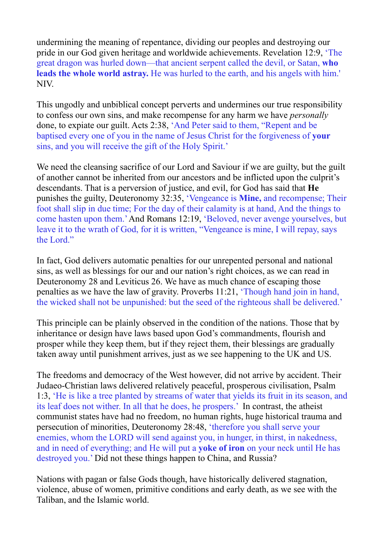undermining the meaning of repentance, dividing our peoples and destroying our pride in our God given heritage and worldwide achievements. Revelation 12:9, 'The great dragon was hurled down—that ancient serpent called the devil, or Satan, **who leads the whole world astray.** He was hurled to the earth, and his angels with him.' NIV.

This ungodly and unbiblical concept perverts and undermines our true responsibility to confess our own sins, and make recompense for any harm we have *personally* done, to expiate our guilt. Acts 2:38, 'And Peter said to them, "Repent and be baptised every one of you in the name of Jesus Christ for the forgiveness of **your**  sins, and you will receive the gift of the Holy Spirit.'

We need the cleansing sacrifice of our Lord and Saviour if we are guilty, but the guilt of another cannot be inherited from our ancestors and be inflicted upon the culprit's descendants. That is a perversion of justice, and evil, for God has said that **He** punishes the guilty, Deuteronomy 32:35, 'Vengeance is **Mine,** and recompense; Their foot shall slip in due time; For the day of their calamity is at hand, And the things to come hasten upon them.' And Romans 12:19, 'Beloved, never avenge yourselves, but leave it to the wrath of God, for it is written, "Vengeance is mine, I will repay, says the Lord."

In fact, God delivers automatic penalties for our unrepented personal and national sins, as well as blessings for our and our nation's right choices, as we can read in Deuteronomy 28 and Leviticus 26. We have as much chance of escaping those penalties as we have the law of gravity. Proverbs 11:21, 'Though hand join in hand, the wicked shall not be unpunished: but the seed of the righteous shall be delivered.'

This principle can be plainly observed in the condition of the nations. Those that by inheritance or design have laws based upon God's commandments, flourish and prosper while they keep them, but if they reject them, their blessings are gradually taken away until punishment arrives, just as we see happening to the UK and US.

The freedoms and democracy of the West however, did not arrive by accident. Their Judaeo-Christian laws delivered relatively peaceful, prosperous civilisation, Psalm 1:3, 'He is like a tree planted by streams of water that yields its fruit in its season, and its leaf does not wither. In all that he does, he prospers.' In contrast, the atheist communist states have had no freedom, no human rights, huge historical trauma and persecution of minorities, Deuteronomy 28:48, 'therefore you shall serve your enemies, whom the LORD will send against you, in hunger, in thirst, in nakedness, and in need of everything; and He will put a **yoke of iron** on your neck until He has destroyed you.' Did not these things happen to China, and Russia?

Nations with pagan or false Gods though, have historically delivered stagnation, violence, abuse of women, primitive conditions and early death, as we see with the Taliban, and the Islamic world.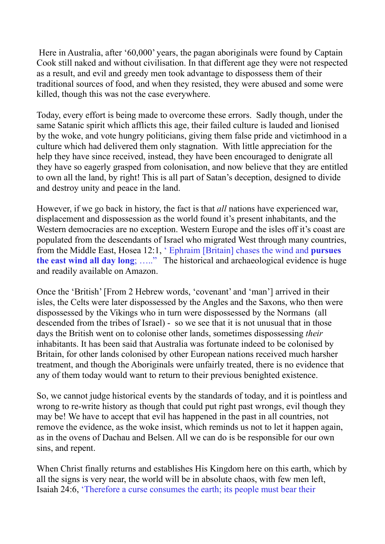Here in Australia, after '60,000' years, the pagan aboriginals were found by Captain Cook still naked and without civilisation. In that different age they were not respected as a result, and evil and greedy men took advantage to dispossess them of their traditional sources of food, and when they resisted, they were abused and some were killed, though this was not the case everywhere.

Today, every effort is being made to overcome these errors. Sadly though, under the same Satanic spirit which afflicts this age, their failed culture is lauded and lionised by the woke, and vote hungry politicians, giving them false pride and victimhood in a culture which had delivered them only stagnation. With little appreciation for the help they have since received, instead, they have been encouraged to denigrate all they have so eagerly grasped from colonisation, and now believe that they are entitled to own all the land, by right! This is all part of Satan's deception, designed to divide and destroy unity and peace in the land.

However, if we go back in history, the fact is that *all* nations have experienced war, displacement and dispossession as the world found it's present inhabitants, and the Western democracies are no exception. Western Europe and the isles off it's coast are populated from the descendants of Israel who migrated West through many countries, from the Middle East, Hosea 12:1, ' Ephraim [Britain] chases the wind and **pursues the east wind all day long**; ….." The historical and archaeological evidence is huge and readily available on Amazon.

Once the 'British' [From 2 Hebrew words, 'covenant' and 'man'] arrived in their isles, the Celts were later dispossessed by the Angles and the Saxons, who then were dispossessed by the Vikings who in turn were dispossessed by the Normans (all descended from the tribes of Israel) - so we see that it is not unusual that in those days the British went on to colonise other lands, sometimes dispossessing *their* inhabitants. It has been said that Australia was fortunate indeed to be colonised by Britain, for other lands colonised by other European nations received much harsher treatment, and though the Aboriginals were unfairly treated, there is no evidence that any of them today would want to return to their previous benighted existence.

So, we cannot judge historical events by the standards of today, and it is pointless and wrong to re-write history as though that could put right past wrongs, evil though they may be! We have to accept that evil has happened in the past in all countries, not remove the evidence, as the woke insist, which reminds us not to let it happen again, as in the ovens of Dachau and Belsen. All we can do is be responsible for our own sins, and repent.

When Christ finally returns and establishes His Kingdom here on this earth, which by all the signs is very near, the world will be in absolute chaos, with few men left, Isaiah 24:6, 'Therefore a curse consumes the earth; its people must bear their